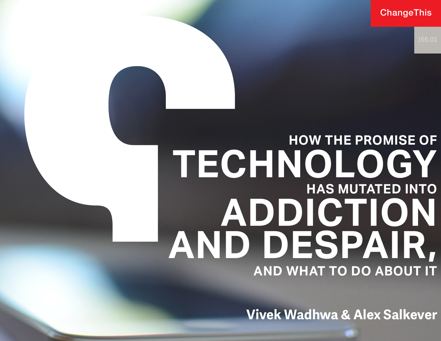ChangeThis

# **HOW THE PROMISE OF TECHNOLOGY HAS MUTATED INTO ADDICTION AND DESPAIR, AND WHAT TO DO ABOUT IT**

**Vivek Wadhwa & Alex Salkever**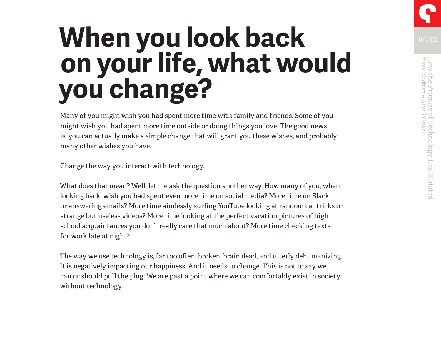# **When you look back Microsoft Research Additional Property Research Additional Property Research Additional Property on your life, what would you change?**

Many of you might wish you had spent more time with family and friends. Some of you might wish you had spent more time outside or doing things you love. The good news is, you can actually make a simple change that will grant you these wishes, and probably many other wishes you have.

Change the way you interact with technology.

What does that mean? Well, let me ask the question another way. How many of you, when looking back, wish you had spent even more time on social media? More time on Slack or answering emails? More time aimlessly surfing YouTube looking at random cat tricks or strange but useless videos? More time looking at the perfect vacation pictures of high school acquaintances you don't really care that much about? More time checking texts for work late at night?

The way we use technology is, far too often, broken, brain dead, and utterly dehumanizing. It is negatively impacting our happiness. And it needs to change. This is not to say we can or should pull the plug. We are past a point where we can comfortably exist in society without technology.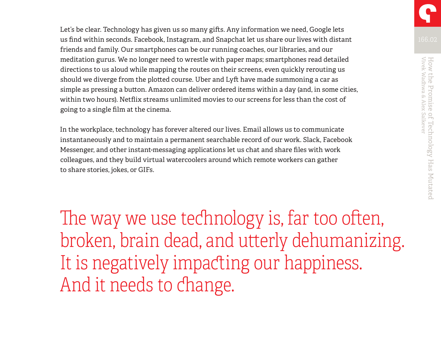Let's be clear. Technology has given us so many gifts. Any information we need, Google lets us find within seconds. Facebook, Instagram, and Snapchat let us share our lives with distant friends and family. Our smartphones can be our running coaches, our libraries, and our meditation gurus. We no longer need to wrestle with paper maps; smartphones read detailed directions to us aloud while mapping the routes on their screens, even quickly rerouting us should we diverge from the plotted course. Uber and Lyft have made summoning a car as simple as pressing a button. Amazon can deliver ordered items within a day (and, in some cities, within two hours). Netflix streams unlimited movies to our screens for less than the cost of going to a single film at the cinema.

In the workplace, technology has forever altered our lives. Email allows us to communicate instantaneously and to maintain a permanent searchable record of our work. Slack, Facebook Messenger, and other instant-messaging applications let us chat and share files with work colleagues, and they build virtual watercoolers around which remote workers can gather to share stories, jokes, or GIFs.

The way we use technology is, far too often, broken, brain dead, and utterly dehumanizing. It is negatively impacting our happiness. And it needs to change.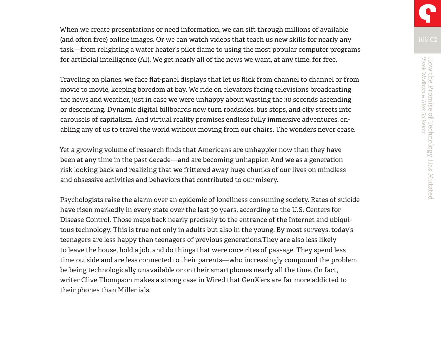When we create presentations or need information, we can sift through millions of available (and often free) online images. Or we can watch videos that teach us new skills for nearly any task—from relighting a water heater's pilot flame to using the most popular computer programs for artificial intelligence (AI). We get nearly all of the news we want, at any time, for free.

Traveling on planes, we face flat-panel displays that let us flick from channel to channel or from movie to movie, keeping boredom at bay. We ride on elevators facing televisions broadcasting the news and weather, just in case we were unhappy about wasting the 30 seconds ascending or descending. Dynamic digital billboards now turn roadsides, bus stops, and city streets into carousels of capitalism. And virtual reality promises endless fully immersive adventures, enabling any of us to travel the world without moving from our chairs. The wonders never cease.

Yet a growing volume of research finds that Americans are unhappier now than they have been at any time in the past decade—and are becoming unhappier. And we as a generation risk looking back and realizing that we frittered away huge chunks of our lives on mindless and obsessive activities and behaviors that contributed to our misery.

Psychologists raise the alarm over an epidemic of loneliness consuming society. Rates of suicide have risen markedly in every state over the last 30 years, according to the U.S. Centers for Disease Control. Those maps back nearly precisely to the entrance of the Internet and ubiquitous technology. This is true not only in adults but also in the young. By most surveys, today's teenagers are less happy than teenagers of previous generations.They are also less likely to leave the house, hold a job, and do things that were once rites of passage. They spend less time outside and are less connected to their parents—who increasingly compound the problem be being technologically unavailable or on their smartphones nearly all the time. (In fact, writer Clive Thompson makes a strong case in Wired that GenX'ers are far more addicted to their phones than Millenials.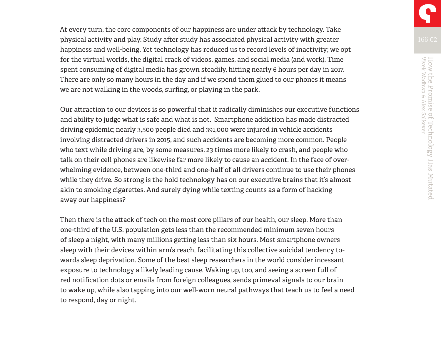At every turn, the core components of our happiness are under attack by technology. Take physical activity and play. Study after study has associated physical activity with greater happiness and well-being. Yet technology has reduced us to record levels of inactivity; we opt for the virtual worlds, the digital crack of videos, games, and social media (and work). Time spent consuming of digital media has grown steadily, hitting nearly 6 hours per day in 2017. There are only so many hours in the day and if we spend them glued to our phones it means we are not walking in the woods, surfing, or playing in the park.

Our attraction to our devices is so powerful that it radically diminishes our executive functions and ability to judge what is safe and what is not. Smartphone addiction has made distracted driving epidemic; nearly 3,500 people died and 391,000 were injured in vehicle accidents involving distracted drivers in 2015, and such accidents are becoming more common. People who text while driving are, by some measures, 23 times more likely to crash, and people who talk on their cell phones are likewise far more likely to cause an accident. In the face of overwhelming evidence, between one-third and one-half of all drivers continue to use their phones while they drive. So strong is the hold technology has on our executive brains that it's almost akin to smoking cigarettes. And surely dying while texting counts as a form of hacking away our happiness?

Then there is the attack of tech on the most core pillars of our health, our sleep. More than one-third of the U.S. population gets less than the recommended minimum seven hours of sleep a night, with many millions getting less than six hours. Most smartphone owners sleep with their devices within arm's reach, facilitating this collective suicidal tendency towards sleep deprivation. Some of the best sleep researchers in the world consider incessant exposure to technology a likely leading cause. Waking up, too, and seeing a screen full of red notification dots or emails from foreign colleagues, sends primeval signals to our brain to wake up, while also tapping into our well-worn neural pathways that teach us to feel a need to respond, day or night.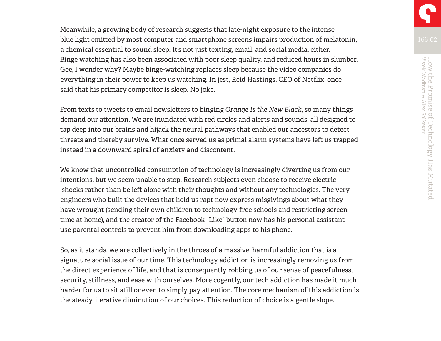Meanwhile, a growing body of research suggests that late-night exposure to the intense blue light emitted by most computer and smartphone screens impairs production of melatonin, a chemical essential to sound sleep. It's not just texting, email, and social media, either. Binge watching has also been associated with poor sleep quality, and reduced hours in slumber. Gee, I wonder why? Maybe binge-watching replaces sleep because the video companies do everything in their power to keep us watching. In jest, Reid Hastings, CEO of Netflix, once said that his primary competitor is sleep. No joke.

From texts to tweets to email newsletters to binging *Orange Is the New Black*, so many things demand our attention. We are inundated with red circles and alerts and sounds, all designed to tap deep into our brains and hijack the neural pathways that enabled our ancestors to detect threats and thereby survive. What once served us as primal alarm systems have left us trapped instead in a downward spiral of anxiety and discontent.

We know that uncontrolled consumption of technology is increasingly diverting us from our intentions, but we seem unable to stop. Research subjects even choose to receive electric shocks rather than be left alone with their thoughts and without any technologies. The very engineers who built the devices that hold us rapt now express misgivings about what they have wrought (sending their own children to technology-free schools and restricting screen time at home), and the creator of the Facebook "Like" button now has his personal assistant use parental controls to prevent him from downloading apps to his phone.

So, as it stands, we are collectively in the throes of a massive, harmful addiction that is a signature social issue of our time. This technology addiction is increasingly removing us from the direct experience of life, and that is consequently robbing us of our sense of peacefulness, security, stillness, and ease with ourselves. More cogently, our tech addiction has made it much harder for us to sit still or even to simply pay attention. The core mechanism of this addiction is the steady, iterative diminution of our choices. This reduction of choice is a gentle slope.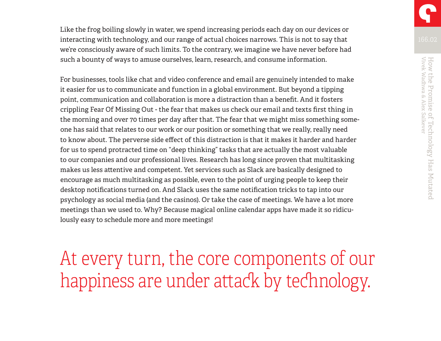Like the frog boiling slowly in water, we spend increasing periods each day on our devices or interacting with technology, and our range of actual choices narrows. This is not to say that we're consciously aware of such limits. To the contrary, we imagine we have never before had such a bounty of ways to amuse ourselves, learn, research, and consume information.

For businesses, tools like chat and video conference and email are genuinely intended to make it easier for us to communicate and function in a global environment. But beyond a tipping point, communication and collaboration is more a distraction than a benefit. And it fosters crippling Fear Of Missing Out - the fear that makes us check our email and texts first thing in the morning and over 70 times per day after that. The fear that we might miss something someone has said that relates to our work or our position or something that we really, really need to know about. The perverse side effect of this distraction is that it makes it harder and harder for us to spend protracted time on "deep thinking" tasks that are actually the most valuable to our companies and our professional lives. Research has long since proven that multitasking makes us less attentive and competent. Yet services such as Slack are basically designed to encourage as much multitasking as possible, even to the point of urging people to keep their desktop notifications turned on. And Slack uses the same notification tricks to tap into our psychology as social media (and the casinos). Or take the case of meetings. We have a lot more meetings than we used to. Why? Because magical online calendar apps have made it so ridiculously easy to schedule more and more meetings!

At every turn, the core components of our happiness are under attack by technology.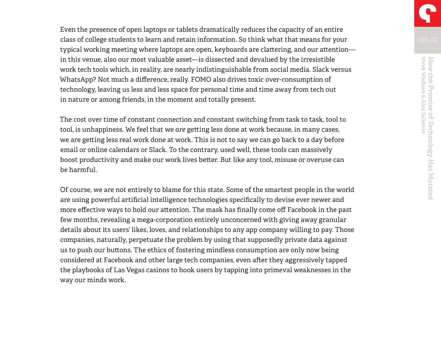Even the presence of open laptops or tablets dramatically reduces the capacity of an entire class of college students to learn and retain information. So think what that means for your typical working meeting where laptops are open, keyboards are clattering, and our attention in this venue, also our most valuable asset—is dissected and devalued by the irresistible work tech tools which, in reality, are nearly indistinguishable from social media. Slack versus WhatsApp? Not much a difference, really. FOMO also drives toxic over-consumption of technology, leaving us less and less space for personal time and time away from tech out in nature or among friends, in the moment and totally present.

The cost over time of constant connection and constant switching from task to task, tool to tool, is unhappiness. We feel that we *are* getting less done at work because, in many cases, we are getting less real work done at work. This is not to say we can go back to a day before email or online calendars or Slack. To the contrary, used well, these tools can massively boost productivity and make our work lives better. But like any tool, misuse or overuse can be harmful.

Of course, we are not entirely to blame for this state. Some of the smartest people in the world are using powerful artificial intelligence technologies specifically to devise ever newer and more effective ways to hold our attention. The mask has finally come off Facebook in the past few months, revealing a mega-corporation entirely unconcerned with giving away granular details about its users' likes, loves, and relationships to any app company willing to pay. Those companies, naturally, perpetuate the problem by using that supposedly private data against us to push our buttons. The ethics of fostering mindless consumption are only now being considered at Facebook and other large tech companies, even after they aggressively tapped the playbooks of Las Vegas casinos to hook users by tapping into primeval weaknesses in the way our minds work.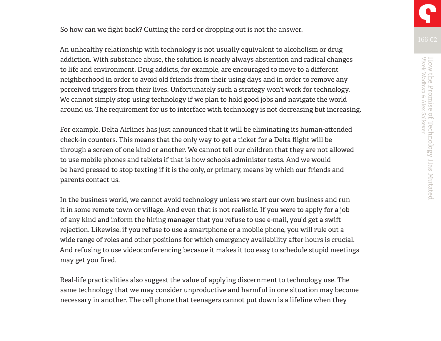So how can we fight back? Cutting the cord or dropping out is not the answer.

An unhealthy relationship with technology is not usually equivalent to alcoholism or drug addiction. With substance abuse, the solution is nearly always abstention and radical changes to life and environment. Drug addicts, for example, are encouraged to move to a different neighborhood in order to avoid old friends from their using days and in order to remove any perceived triggers from their lives. Unfortunately such a strategy won't work for technology. We cannot simply stop using technology if we plan to hold good jobs and navigate the world around us. The requirement for us to interface with technology is not decreasing but increasing.

For example, Delta Airlines has just announced that it will be eliminating its human-attended check-in counters. This means that the only way to get a ticket for a Delta flight will be through a screen of one kind or another. We cannot tell our children that they are not allowed to use mobile phones and tablets if that is how schools administer tests. And we would be hard pressed to stop texting if it is the only, or primary, means by which our friends and parents contact us.

In the business world, we cannot avoid technology unless we start our own business and run it in some remote town or village. And even that is not realistic. If you were to apply for a job of any kind and inform the hiring manager that you refuse to use e-mail, you'd get a swift rejection. Likewise, if you refuse to use a smartphone or a mobile phone, you will rule out a wide range of roles and other positions for which emergency availability after hours is crucial. And refusing to use videoconferencing becasue it makes it too easy to schedule stupid meetings may get you fired.

Real-life practicalities also suggest the value of applying discernment to technology use. The same technology that we may consider unproductive and harmful in one situation may become necessary in another. The cell phone that teenagers cannot put down is a lifeline when they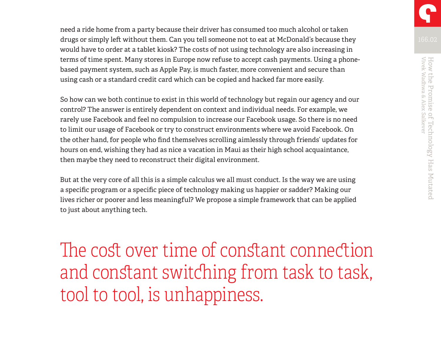need a ride home from a party because their driver has consumed too much alcohol or taken drugs or simply left without them. Can you tell someone not to eat at McDonald's because they would have to order at a tablet kiosk? The costs of not using technology are also increasing in terms of time spent. Many stores in Europe now refuse to accept cash payments. Using a phonebased payment system, such as Apple Pay, is much faster, more convenient and secure than using cash or a standard credit card which can be copied and hacked far more easily.

So how can we both continue to exist in this world of technology but regain our agency and our control? The answer is entirely dependent on context and individual needs. For example, we rarely use Facebook and feel no compulsion to increase our Facebook usage. So there is no need to limit our usage of Facebook or try to construct environments where we avoid Facebook. On the other hand, for people who find themselves scrolling aimlessly through friends' updates for hours on end, wishing they had as nice a vacation in Maui as their high school acquaintance, then maybe they need to reconstruct their digital environment.

But at the very core of all this is a simple calculus we all must conduct. Is the way we are using a specific program or a specific piece of technology making us happier or sadder? Making our lives richer or poorer and less meaningful? We propose a simple framework that can be applied to just about anything tech.

The cost over time of constant connection and constant switching from task to task, tool to tool, is unhappiness.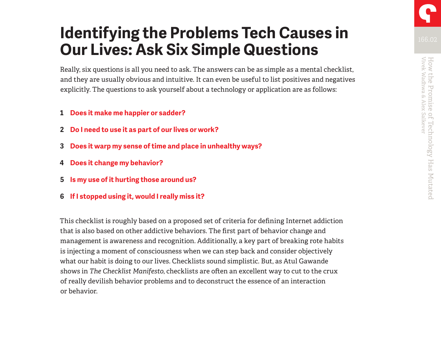## **Identifying the Problems Tech Causes in Our Lives: Ask Six Simple Questions**

Really, six questions is all you need to ask. The answers can be as simple as a mental checklist, and they are usually obvious and intuitive. It can even be useful to list positives and negatives explicitly. The questions to ask yourself about a technology or application are as follows:

- **1 Does it make me happier or sadder?**
- **2 Do I need to use it as part of our lives or work?**
- **3 Does it warp my sense of time and place in unhealthy ways?**
- **4 Does it change my behavior?**
- **5 Is my use of it hurting those around us?**
- **6 If I stopped using it, would I really miss it?**

This checklist is roughly based on a proposed set of criteria for defining Internet addiction that is also based on other addictive behaviors. The first part of behavior change and management is awareness and recognition. Additionally, a key part of breaking rote habits is injecting a moment of consciousness when we can step back and consider objectively what our habit is doing to our lives. Checklists sound simplistic. But, as Atul Gawande shows in *The Checklist Manifesto*, checklists are often an excellent way to cut to the crux of really devilish behavior problems and to deconstruct the essence of an interaction or behavior.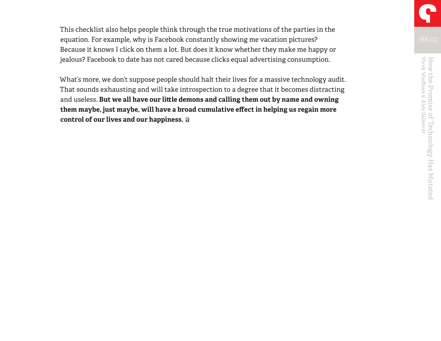This checklist also helps people think through the true motivations of the parties in the equation. For example, why is Facebook constantly showing me vacation pictures? Because it knows I click on them a lot. But does it know whether they make me happy or jealous? Facebook to date has not cared because clicks equal advertising consumption.

What's more, we don't suppose people should halt their lives for a massive technology audit. That sounds exhausting and will take introspection to a degree that it becomes distracting and useless. **But we all have our little demons and calling them out by name and owning them maybe, just maybe, will have a broad cumulative effect in helping us regain more control of our lives and our happiness.**